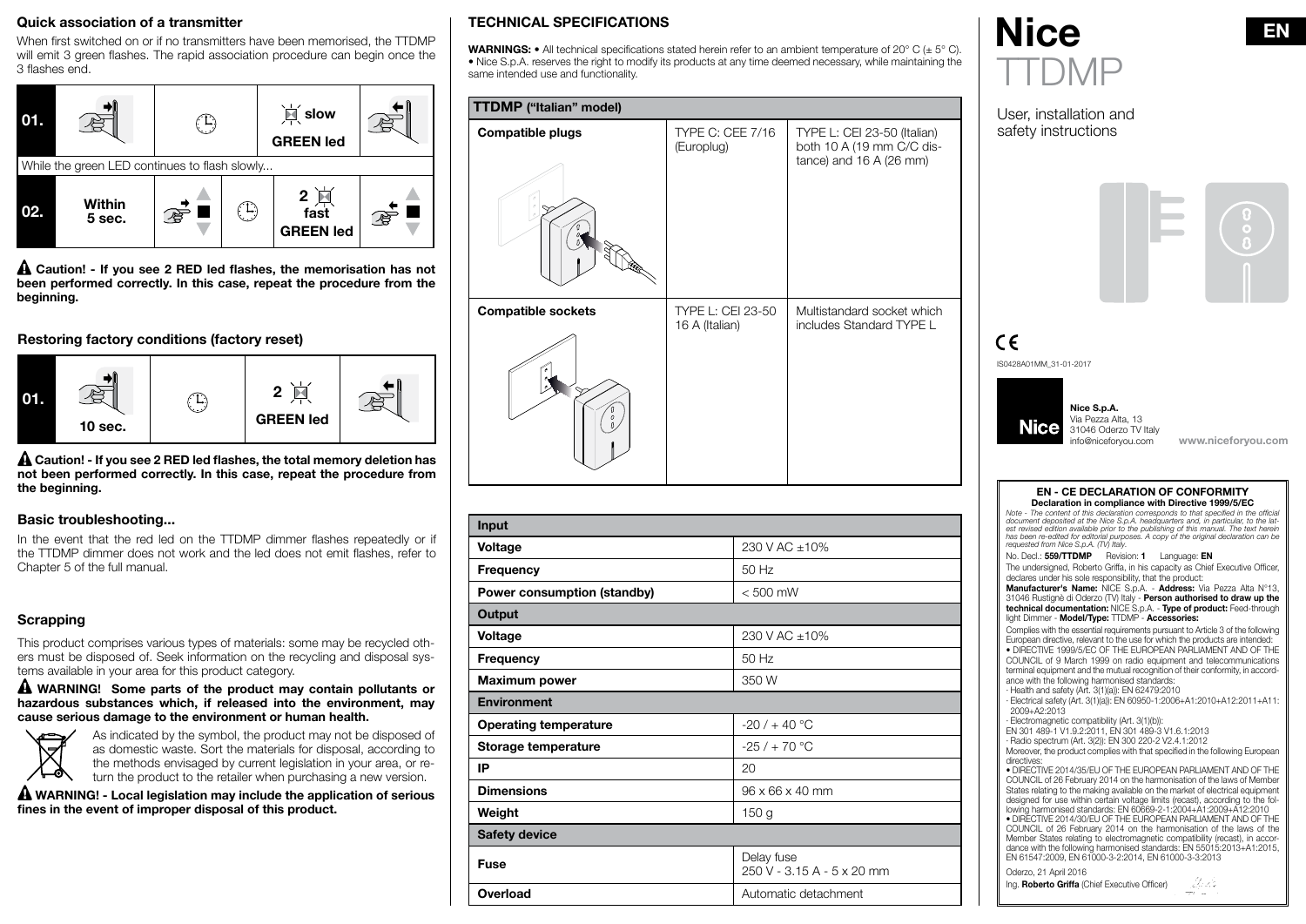## Quick association of a transmitter

When first switched on or if no transmitters have been memorised, the TTDMP will emit 3 green flashes. The rapid association procedure can begin once the 3 flashes end.



A Caution! - If you see 2 RED led flashes, the memorisation has not been performed correctly. In this case, repeat the procedure from the beginning.

## Restoring factory conditions (factory reset)



 $\triangle$  Caution! - If you see 2 RED led flashes, the total memory deletion has not been performed correctly. In this case, repeat the procedure from the beginning.

#### Basic troubleshooting...

In the event that the red led on the TTDMP dimmer flashes repeatedly or if the TTDMP dimmer does not work and the led does not emit flashes, refer to Chapter 5 of the full manual.

# **Scrapping**

This product comprises various types of materials: some may be recycled others must be disposed of. Seek information on the recycling and disposal systems available in your area for this product category.

A WARNING! Some parts of the product may contain pollutants or hazardous substances which, if released into the environment, may cause serious damage to the environment or human health.



As indicated by the symbol, the product may not be disposed of as domestic waste. Sort the materials for disposal, according to the methods envisaged by current legislation in your area, or return the product to the retailer when purchasing a new version.

A WARNING! - Local legislation may include the application of serious fines in the event of improper disposal of this product.

# TECHNICAL SPECIFICATIONS

**WARNINGS:** • All technical specifications stated herein refer to an ambient temperature of 20° C ( $\pm$  5° C). • Nice S.p.A. reserves the right to modify its products at any time deemed necessary, while maintaining the same intended use and functionality.

| TTDMP ("Italian" model)   |                                       |                                                                                     |  |  |
|---------------------------|---------------------------------------|-------------------------------------------------------------------------------------|--|--|
| <b>Compatible plugs</b>   | <b>TYPE C: CEE 7/16</b><br>(Europlug) | TYPE L: CEI 23-50 (Italian)<br>both 10 A (19 mm C/C dis-<br>tance) and 16 A (26 mm) |  |  |
| <b>Compatible sockets</b> | TYPE L: CEI 23-50<br>16 A (Italian)   | Multistandard socket which<br>includes Standard TYPE L                              |  |  |

| Input                        |                                          |
|------------------------------|------------------------------------------|
| Voltage                      | 230 V AC ±10%                            |
| Frequency                    | 50 Hz                                    |
| Power consumption (standby)  | $< 500$ mW                               |
| Output                       |                                          |
| Voltage                      | 230 V AC ±10%                            |
| Frequency                    | 50 Hz                                    |
| <b>Maximum power</b>         | 350 W                                    |
| <b>Environment</b>           |                                          |
| <b>Operating temperature</b> | $-20/ + 40 °C$                           |
| Storage temperature          | $-25/ + 70$ °C                           |
| IP                           | 20                                       |
| <b>Dimensions</b>            | $96 \times 66 \times 40$ mm              |
| Weight                       | 150 <sub>g</sub>                         |
| <b>Safety device</b>         |                                          |
| <b>Fuse</b>                  | Delay fuse<br>250 V - 3.15 A - 5 x 20 mm |
| Overload                     | Automatic detachment                     |



User, installation and safety instructions



# $\epsilon$

IS0428A01MM\_31-01-2017



www.niceforyou.com

#### EN - CE DECLARATION OF CONFORMITY Declaration in compliance with Directive 1999/5/EC

*Note -* The content of this declaration corresponds to that specified in the official *document deposited at the Nice S.p.A. headquarters and, in particular, to the lat* est revised edition available prior to the publishing of this manual. The text herein *has been re-edited for editorial purposes. A copy of the original declaration can be requested from Nice S.p.A. (TV) Italy.*

#### No. Decl.: 559/TTDMP Revision: 1 Language: EN

The undersigned, Roberto Griffa, in his capacity as Chief Executive Officer, declares under his sole responsibility, that the product:

Manufacturer's Name: NICE S.p.A. - Address: Via Pezza Alta N°13, 31046 Rustignè di Oderzo (TV) Italy - Person authorised to draw up the technical documentation: NICE S.p.A. - Type of product: Feed-through light Dimmer - Model/Type: TTDMP - Accessories:

Complies with the essential requirements pursuant to Article 3 of the following European directive, relevant to the use for which the products are intended: • DIRECTIVE 1999/5/EC OF THE EUROPEAN PARLIAMENT AND OF THE COUNCIL of 9 March 1999 on radio equipment and telecommunications terminal equipment and the mutual recognition of their conformity, in accordance with the following harmonised standards:

· Health and safety (Art. 3(1)(a)): EN 62479:2010 · Electrical safety (Art. 3(1)(a)): EN 60950-1:2006+A1:2010+A12:2011+A11: 2009+A2:2013

· Electromagnetic compatibility (Art. 3(1)(b)):

EN 301 489-1 V1.9.2:2011, EN 301 489-3 V1.6.1:2013

· Radio spectrum (Art. 3(2)): EN 300 220-2 V2.4.1:2012

Moreover, the product complies with that specified in the following European directives:

• DIRECTIVE 2014/35/EU OF THE EUROPEAN PARLIAMENT AND OF THE COUNCIL of 26 February 2014 on the harmonisation of the laws of Member States relating to the making available on the market of electrical equipment designed for use within certain voltage limits (recast), according to the following harmonised standards: EN 60669-2-1:2004+A1:2009+A12:2010 • DIRECTIVE 2014/30/EU OF THE EUROPEAN PARLIAMENT AND OF THE COUNCIL of 26 February 2014 on the harmonisation of the laws of the

Member States relating to electromagnetic compatibility (recast), in accordance with the following harmonised standards: EN 55015:2013+A1:2015, EN 61547:2009, EN 61000-3-2:2014, EN 61000-3-3:2013 Oderzo, 21 April 2016

Ing. Roberto Griffa (Chief Executive Officer) - Maria